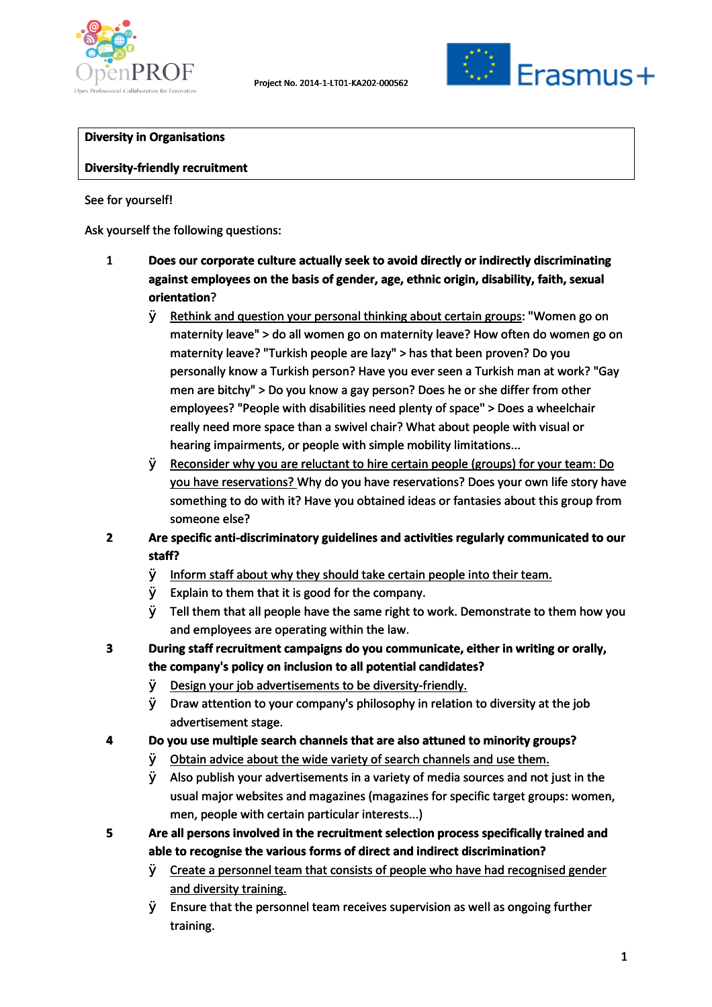



### **Diversity in Organisations in**

#### **Diversity-friendly recruitment**

### See for yourself!

Ask yourself the following questions: Ask

- 1 **Does our corporate culture actually seek to avoid directly or indirectly discriminating** Does our corporate culture actually seek to avoid directly or indirectly discriminatin<br>against employees on the basis of gender, age, ethnic origin, disability, faith, sexual **orientation**?
	- $\varnothing$  Rethink and question your personal thinking about certain groups: "Women go on maternity leave" > do all women go on maternity leave? How often do women go on maternity leave? "Turkish people are lazy" > has that been proven? Do you maternity leave? "Turkish people are lazy" > has that been proven? Do you<br>personally know a Turkish person? Have you ever seen a Turkish man at work? "Gay men are bitchy" > Do you know a gay person? Does he or she differ from other employees? "People with disabilities need plenty of space" > Does a wheelchair really need more space than a swivel chair? What about people with visual or<br>hearing impairments, or people with simple mobility limitations... hearing impairments, or people with simple mobility limitations...
	- Ø Reconsider why you are reluctant to hire certain people (groups) for your team: Do<br>you have reservations? Why do you have reservations? Does your own life story ha you have reservations? Why do you have reservations? Does your own life story have something to do with it? Have you obtained ideas or fantasies about this group from someone else?
- 2 Are specific anti-discriminatory guidelines and activities regularly communicated to our **staff?**
	- $\varnothing$  Inform staff about why they should take certain people into their team.
	- $\emptyset$  Explain to them that it is good for the company.
	- $\varnothing$  Explain to them that it is good for the company.<br>Ø Tell them that all people have the same right to work. Demonstrate to them how you and employees are operating within the law.
- **3 During staff recruitment campaigns do you communicate, either in writing or orally, campaignsthe policytothe company's policy on inclusion to all potential candidates?**
	- Ø Design your job advertisements to be diversity-friendly.
	- Ø Lesign your job advertisements to be diversity-friendly.<br>Ø Draw attention to your company's philosophy in relation to diversity at the job advertisement stage.
- **4 Do you use multiple search channels that are also attuned to minority groups? multiple**
	- Ø Obtain advice about the wide variety of search channels and use them.
- $\varnothing$   $\;$  <u>Obtain advice about the wide variety of search channels and use them.</u><br> $\varnothing$   $\;$  Also publish your advertisements in a variety of media sources and not just in the usual major websites and magazines (magazines for specific target groups: women,<br>men, people with certain particular interests...) men, people with certain particular interests...) that it is good for the<br>Il people have the san<br>are operating within t<br>ment campaigns do yer<br>y on inclusion to all p<br>advertisements to be<br>to your company's ph<br>tage.<br>search channels that<br>out the wide variety<br>ir advertisement
- **5 Are all persons involved in the recruitment selection process specifically trained and** Are all persons involved in the recruitment selection process specifically <sup>.</sup><br>able to recognise the various forms of direct and indirect discrimination?
	- $\varnothing$  Create a personnel team that consists of people who have had recognised gender and diversity training.
	- $\varnothing$  Ensure that the personnel team receives supervision as well as ongoing further training.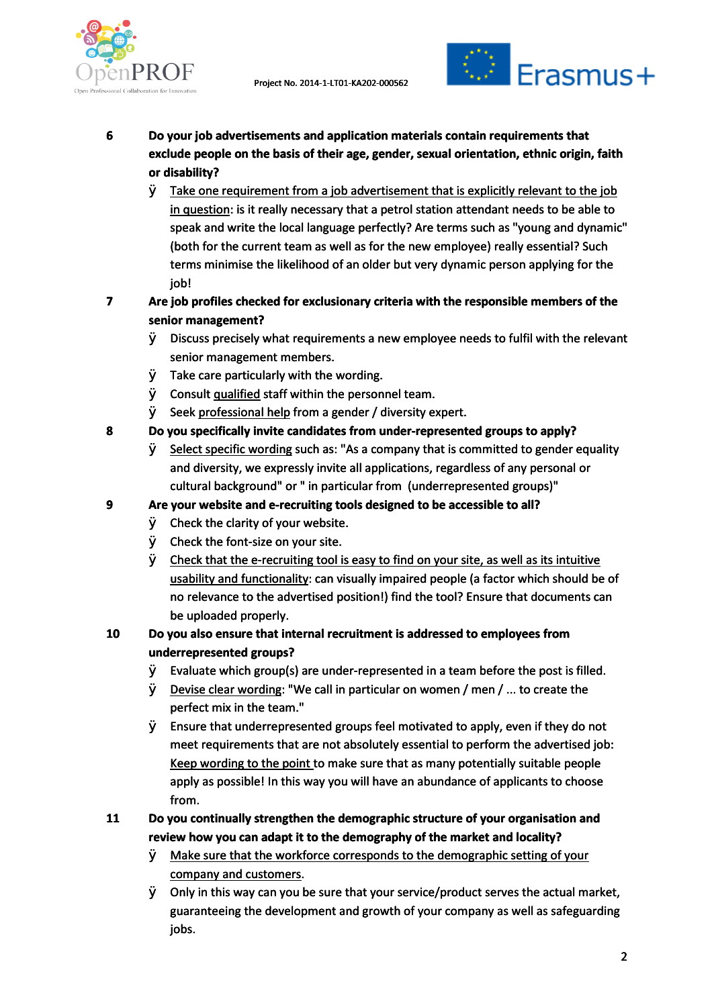



- **6 Do your job advertisements and application materials contain requirements that thatexclude people the exclude people on the basis of their age, gender, sexual orientation, ethnic origin, faith or disability?**
	- $\emptyset$  Take one requirement from a job advertisement that is explicitly relevant to the job in question: is it really necessary that a petrol station attendant needs to be able to speak and write the local language perfectly? Are terms such as "young and dynamic" (both for the current team as well as for the new employee) really essential? Such terms minimise the likelihood of an older but very dynamic person applying for the job! Take one requirement from a job advertisement that is explicitly relevant to the jok<br><u>in question</u>: is it really necessary that a petrol station attendant needs to be able to<br>speak and write the local language perfectly? A
- 7 Are job profiles checked for exclusionary criteria with the responsible members of the **senior management?**
	- $\varnothing$  Discuss precisely what requirements a new employee needs to fulfil with the relevant senior management members.
	- $\varnothing$  Take care particularly with the wording.
	- senior management members.<br>Ø Take care particularly with the wording.<br>Ø Consult <u>qualified</u> staff within the personnel team.
	- $\emptyset$  Seek professional help from a gender / diversity expert.
- **8 Do you specifically invite candidates from under-represented groups to apply? invite**
	- $\varnothing$  Select specific wording such as: "As a company that is committed to gender equality <u>Select specific wordin</u>g such as: "As a company that is committed to gender eq<br>and diversity, we expressly invite all applications, regardless of any personal or cultural background" or " in particular from (underrepresented groups)"

### 9 Are your website and e-recruiting tools designed to be accessible to all?

- $\emptyset$  Check the clarity of your website.
- $\varnothing$  Check the clarity of your website.<br> $\varnothing$  Check the font-size on your site.
- $\emptyset$  Check that the e-recruiting tool is easy to find on your site, as well as its intuitive Check that the e-recruiting tool is easy to find on your site, as well as its intuitive<br><u>usability and functionality</u>: can visually impaired people (a factor which should be of no relevance to the advertised position!) find the tool? Ensure that documents can be uploaded properly. be

# **10 Do you also ensure that internal recruitment is addressed to employees from employees underrepresented groups?**

- $\varnothing$  Evaluate which group(s) are under-represented in a team before the post is filled.
- $\varnothing$  Devise clear wording: "We call in particular on women / men / ... to create the perfect mix in the team."
- $\varnothing$  Ensure that underrepresented groups feel motivated to apply, even if they do not meet requirements that are not absolutely essential to perform the advertised job: Keep wording to the point to make sure that as many potentially suitable people Keep wording to the point to make sure that as many potentially suitable people<br>apply as possible! In this way you will have an abundance of applicants to choose from. Select specific wording such as: "As a company that is committed to<br>and diversity, we expressiy invite all applications, regardless of any p<br>cultural background" or " in particular from (underrepresented grou<br>cultural back

# **11 Do you continually strengthen the demographic structure of your organisation and demographic and review how you can adapt it to the demography of the market and locality? you thelocality?**

- $\varnothing$  Make sure that the workforce corresponds to the demographic setting of your company and customers.
- $\emptyset$  Only in this way can you be sure that your service/product serves the actual market, guaranteeing the development and growth of your company as well as safeguarding jobs.